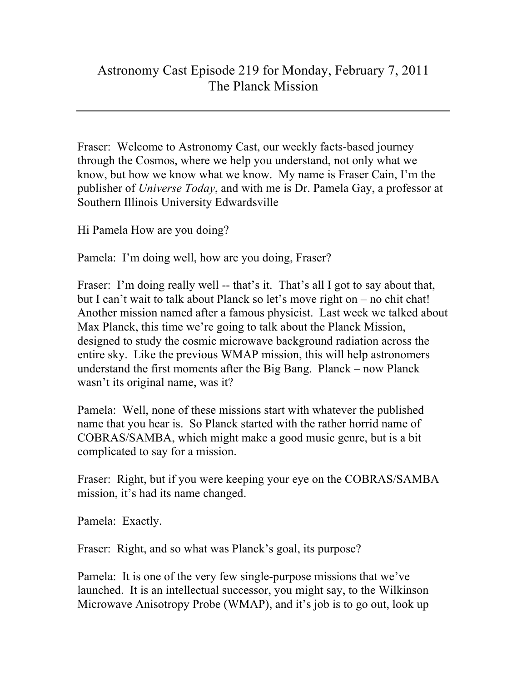## Astronomy Cast Episode 219 for Monday, February 7, 2011 The Planck Mission

Fraser: Welcome to Astronomy Cast, our weekly facts-based journey through the Cosmos, where we help you understand, not only what we know, but how we know what we know. My name is Fraser Cain, I'm the publisher of *Universe Today*, and with me is Dr. Pamela Gay, a professor at Southern Illinois University Edwardsville

Hi Pamela How are you doing?

Pamela: I'm doing well, how are you doing, Fraser?

Fraser: I'm doing really well -- that's it. That's all I got to say about that, but I can't wait to talk about Planck so let's move right on – no chit chat! Another mission named after a famous physicist. Last week we talked about Max Planck, this time we're going to talk about the Planck Mission, designed to study the cosmic microwave background radiation across the entire sky. Like the previous WMAP mission, this will help astronomers understand the first moments after the Big Bang. Planck – now Planck wasn't its original name, was it?

Pamela: Well, none of these missions start with whatever the published name that you hear is. So Planck started with the rather horrid name of COBRAS/SAMBA, which might make a good music genre, but is a bit complicated to say for a mission.

Fraser: Right, but if you were keeping your eye on the COBRAS/SAMBA mission, it's had its name changed.

Pamela: Exactly.

Fraser: Right, and so what was Planck's goal, its purpose?

Pamela: It is one of the very few single-purpose missions that we've launched. It is an intellectual successor, you might say, to the Wilkinson Microwave Anisotropy Probe (WMAP), and it's job is to go out, look up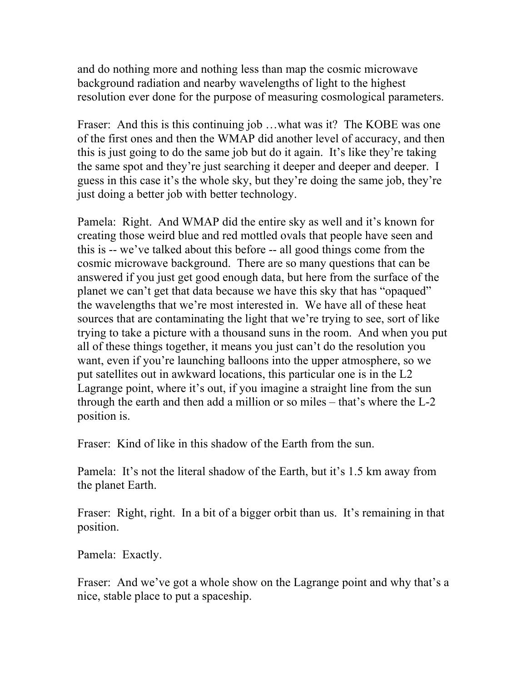and do nothing more and nothing less than map the cosmic microwave background radiation and nearby wavelengths of light to the highest resolution ever done for the purpose of measuring cosmological parameters.

Fraser: And this is this continuing job …what was it? The KOBE was one of the first ones and then the WMAP did another level of accuracy, and then this is just going to do the same job but do it again. It's like they're taking the same spot and they're just searching it deeper and deeper and deeper. I guess in this case it's the whole sky, but they're doing the same job, they're just doing a better job with better technology.

Pamela: Right. And WMAP did the entire sky as well and it's known for creating those weird blue and red mottled ovals that people have seen and this is -- we've talked about this before -- all good things come from the cosmic microwave background. There are so many questions that can be answered if you just get good enough data, but here from the surface of the planet we can't get that data because we have this sky that has "opaqued" the wavelengths that we're most interested in. We have all of these heat sources that are contaminating the light that we're trying to see, sort of like trying to take a picture with a thousand suns in the room. And when you put all of these things together, it means you just can't do the resolution you want, even if you're launching balloons into the upper atmosphere, so we put satellites out in awkward locations, this particular one is in the L2 Lagrange point, where it's out, if you imagine a straight line from the sun through the earth and then add a million or so miles – that's where the L-2 position is.

Fraser: Kind of like in this shadow of the Earth from the sun.

Pamela: It's not the literal shadow of the Earth, but it's 1.5 km away from the planet Earth.

Fraser: Right, right. In a bit of a bigger orbit than us. It's remaining in that position.

Pamela: Exactly.

Fraser: And we've got a whole show on the Lagrange point and why that's a nice, stable place to put a spaceship.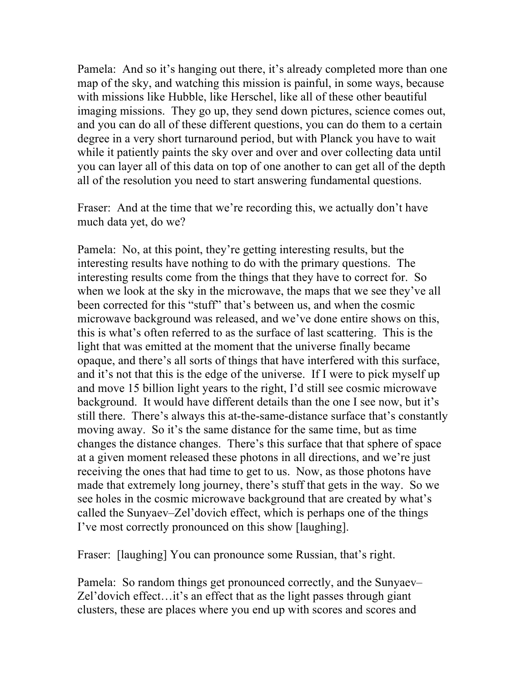Pamela: And so it's hanging out there, it's already completed more than one map of the sky, and watching this mission is painful, in some ways, because with missions like Hubble, like Herschel, like all of these other beautiful imaging missions. They go up, they send down pictures, science comes out, and you can do all of these different questions, you can do them to a certain degree in a very short turnaround period, but with Planck you have to wait while it patiently paints the sky over and over and over collecting data until you can layer all of this data on top of one another to can get all of the depth all of the resolution you need to start answering fundamental questions.

Fraser: And at the time that we're recording this, we actually don't have much data yet, do we?

Pamela: No, at this point, they're getting interesting results, but the interesting results have nothing to do with the primary questions. The interesting results come from the things that they have to correct for. So when we look at the sky in the microwave, the maps that we see they've all been corrected for this "stuff" that's between us, and when the cosmic microwave background was released, and we've done entire shows on this, this is what's often referred to as the surface of last scattering. This is the light that was emitted at the moment that the universe finally became opaque, and there's all sorts of things that have interfered with this surface, and it's not that this is the edge of the universe. If I were to pick myself up and move 15 billion light years to the right, I'd still see cosmic microwave background. It would have different details than the one I see now, but it's still there. There's always this at-the-same-distance surface that's constantly moving away. So it's the same distance for the same time, but as time changes the distance changes. There's this surface that that sphere of space at a given moment released these photons in all directions, and we're just receiving the ones that had time to get to us. Now, as those photons have made that extremely long journey, there's stuff that gets in the way. So we see holes in the cosmic microwave background that are created by what's called the Sunyaev–Zel'dovich effect, which is perhaps one of the things I've most correctly pronounced on this show [laughing].

Fraser: [laughing] You can pronounce some Russian, that's right.

Pamela: So random things get pronounced correctly, and the Sunyaev– Zel'dovich effect…it's an effect that as the light passes through giant clusters, these are places where you end up with scores and scores and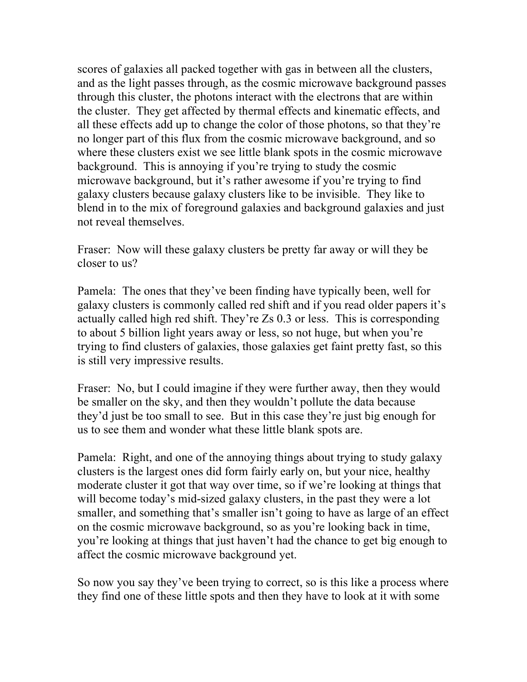scores of galaxies all packed together with gas in between all the clusters, and as the light passes through, as the cosmic microwave background passes through this cluster, the photons interact with the electrons that are within the cluster. They get affected by thermal effects and kinematic effects, and all these effects add up to change the color of those photons, so that they're no longer part of this flux from the cosmic microwave background, and so where these clusters exist we see little blank spots in the cosmic microwave background. This is annoying if you're trying to study the cosmic microwave background, but it's rather awesome if you're trying to find galaxy clusters because galaxy clusters like to be invisible. They like to blend in to the mix of foreground galaxies and background galaxies and just not reveal themselves.

Fraser: Now will these galaxy clusters be pretty far away or will they be closer to us?

Pamela: The ones that they've been finding have typically been, well for galaxy clusters is commonly called red shift and if you read older papers it's actually called high red shift. They're Zs 0.3 or less. This is corresponding to about 5 billion light years away or less, so not huge, but when you're trying to find clusters of galaxies, those galaxies get faint pretty fast, so this is still very impressive results.

Fraser: No, but I could imagine if they were further away, then they would be smaller on the sky, and then they wouldn't pollute the data because they'd just be too small to see. But in this case they're just big enough for us to see them and wonder what these little blank spots are.

Pamela: Right, and one of the annoying things about trying to study galaxy clusters is the largest ones did form fairly early on, but your nice, healthy moderate cluster it got that way over time, so if we're looking at things that will become today's mid-sized galaxy clusters, in the past they were a lot smaller, and something that's smaller isn't going to have as large of an effect on the cosmic microwave background, so as you're looking back in time, you're looking at things that just haven't had the chance to get big enough to affect the cosmic microwave background yet.

So now you say they've been trying to correct, so is this like a process where they find one of these little spots and then they have to look at it with some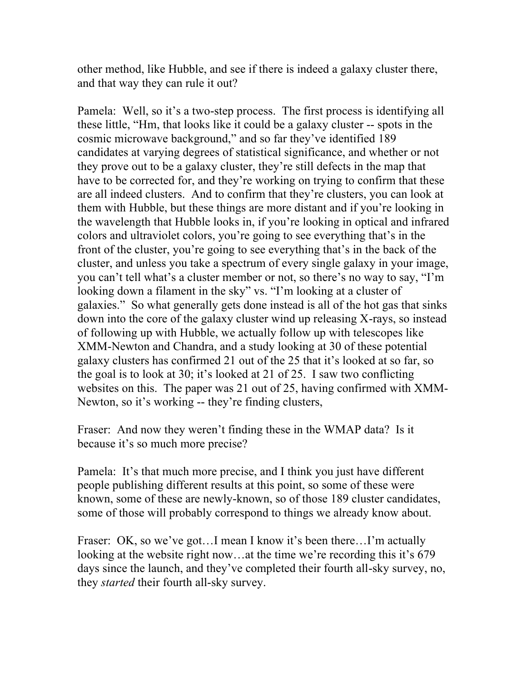other method, like Hubble, and see if there is indeed a galaxy cluster there, and that way they can rule it out?

Pamela: Well, so it's a two-step process. The first process is identifying all these little, "Hm, that looks like it could be a galaxy cluster -- spots in the cosmic microwave background," and so far they've identified 189 candidates at varying degrees of statistical significance, and whether or not they prove out to be a galaxy cluster, they're still defects in the map that have to be corrected for, and they're working on trying to confirm that these are all indeed clusters. And to confirm that they're clusters, you can look at them with Hubble, but these things are more distant and if you're looking in the wavelength that Hubble looks in, if you're looking in optical and infrared colors and ultraviolet colors, you're going to see everything that's in the front of the cluster, you're going to see everything that's in the back of the cluster, and unless you take a spectrum of every single galaxy in your image, you can't tell what's a cluster member or not, so there's no way to say, "I'm looking down a filament in the sky" vs. "I'm looking at a cluster of galaxies." So what generally gets done instead is all of the hot gas that sinks down into the core of the galaxy cluster wind up releasing X-rays, so instead of following up with Hubble, we actually follow up with telescopes like XMM-Newton and Chandra, and a study looking at 30 of these potential galaxy clusters has confirmed 21 out of the 25 that it's looked at so far, so the goal is to look at 30; it's looked at 21 of 25. I saw two conflicting websites on this. The paper was 21 out of 25, having confirmed with XMM-Newton, so it's working -- they're finding clusters,

Fraser: And now they weren't finding these in the WMAP data? Is it because it's so much more precise?

Pamela: It's that much more precise, and I think you just have different people publishing different results at this point, so some of these were known, some of these are newly-known, so of those 189 cluster candidates, some of those will probably correspond to things we already know about.

Fraser: OK, so we've got...I mean I know it's been there...I'm actually looking at the website right now...at the time we're recording this it's 679 days since the launch, and they've completed their fourth all-sky survey, no, they *started* their fourth all-sky survey.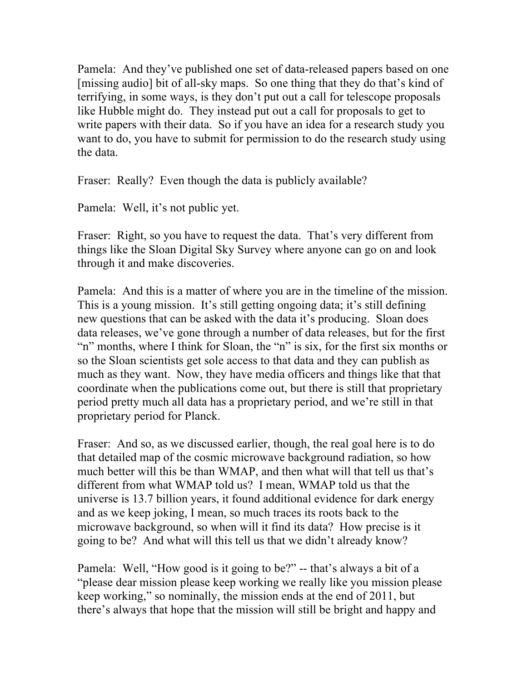Pamela: And they've published one set of data-released papers based on one [missing audio] bit of all-sky maps. So one thing that they do that's kind of terrifying, in some ways, is they don't put out a call for telescope proposals like Hubble might do. They instead put out a call for proposals to get to write papers with their data. So if you have an idea for a research study you want to do, you have to submit for permission to do the research study using the data.

Fraser: Really? Even though the data is publicly available?

Pamela: Well, it's not public yet.

Fraser: Right, so you have to request the data. That's very different from things like the Sloan Digital Sky Survey where anyone can go on and look through it and make discoveries.

Pamela: And this is a matter of where you are in the timeline of the mission. This is a young mission. It's still getting ongoing data; it's still defining new questions that can be asked with the data it's producing. Sloan does data releases, we've gone through a number of data releases, but for the first "n" months, where I think for Sloan, the "n" is six, for the first six months or so the Sloan scientists get sole access to that data and they can publish as much as they want. Now, they have media officers and things like that that coordinate when the publications come out, but there is still that proprietary period pretty much all data has a proprietary period, and we're still in that proprietary period for Planck.

Fraser: And so, as we discussed earlier, though, the real goal here is to do that detailed map of the cosmic microwave background radiation, so how much better will this be than WMAP, and then what will that tell us that's different from what WMAP told us? I mean, WMAP told us that the universe is 13.7 billion years, it found additional evidence for dark energy and as we keep joking, I mean, so much traces its roots back to the microwave background, so when will it find its data? How precise is it going to be? And what will this tell us that we didn't already know?

Pamela: Well, "How good is it going to be?" -- that's always a bit of a "please dear mission please keep working we really like you mission please keep working," so nominally, the mission ends at the end of 2011, but there's always that hope that the mission will still be bright and happy and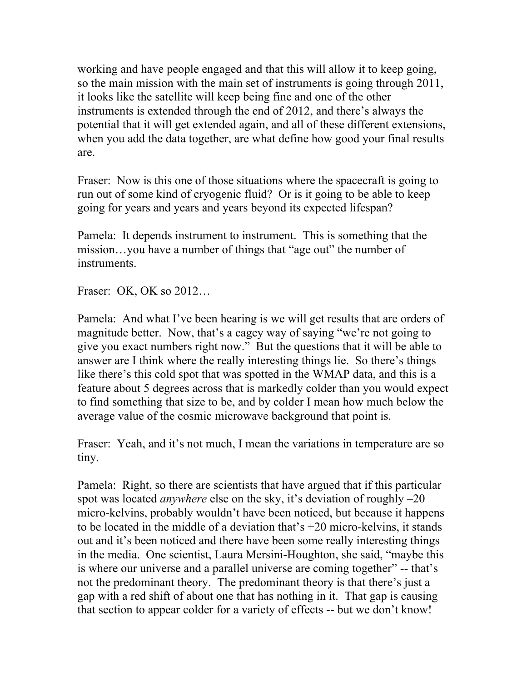working and have people engaged and that this will allow it to keep going, so the main mission with the main set of instruments is going through 2011, it looks like the satellite will keep being fine and one of the other instruments is extended through the end of 2012, and there's always the potential that it will get extended again, and all of these different extensions, when you add the data together, are what define how good your final results are.

Fraser: Now is this one of those situations where the spacecraft is going to run out of some kind of cryogenic fluid? Or is it going to be able to keep going for years and years and years beyond its expected lifespan?

Pamela: It depends instrument to instrument. This is something that the mission…you have a number of things that "age out" the number of instruments.

Fraser: OK, OK so 2012…

Pamela: And what I've been hearing is we will get results that are orders of magnitude better. Now, that's a cagey way of saying "we're not going to give you exact numbers right now." But the questions that it will be able to answer are I think where the really interesting things lie. So there's things like there's this cold spot that was spotted in the WMAP data, and this is a feature about 5 degrees across that is markedly colder than you would expect to find something that size to be, and by colder I mean how much below the average value of the cosmic microwave background that point is.

Fraser: Yeah, and it's not much, I mean the variations in temperature are so tiny.

Pamela: Right, so there are scientists that have argued that if this particular spot was located *anywhere* else on the sky, it's deviation of roughly –20 micro-kelvins, probably wouldn't have been noticed, but because it happens to be located in the middle of a deviation that's +20 micro-kelvins, it stands out and it's been noticed and there have been some really interesting things in the media. One scientist, Laura Mersini-Houghton, she said, "maybe this is where our universe and a parallel universe are coming together" -- that's not the predominant theory. The predominant theory is that there's just a gap with a red shift of about one that has nothing in it. That gap is causing that section to appear colder for a variety of effects -- but we don't know!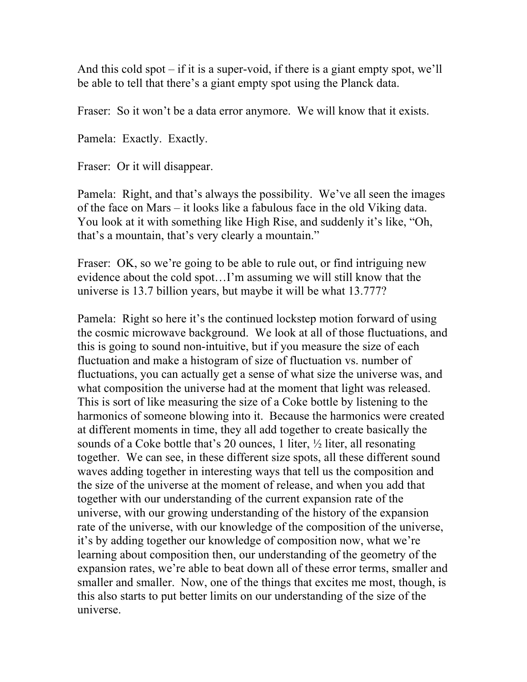And this cold spot – if it is a super-void, if there is a giant empty spot, we'll be able to tell that there's a giant empty spot using the Planck data.

Fraser: So it won't be a data error anymore. We will know that it exists.

Pamela: Exactly. Exactly.

Fraser: Or it will disappear.

Pamela: Right, and that's always the possibility. We've all seen the images of the face on Mars – it looks like a fabulous face in the old Viking data. You look at it with something like High Rise, and suddenly it's like, "Oh, that's a mountain, that's very clearly a mountain."

Fraser: OK, so we're going to be able to rule out, or find intriguing new evidence about the cold spot…I'm assuming we will still know that the universe is 13.7 billion years, but maybe it will be what 13.777?

Pamela: Right so here it's the continued lockstep motion forward of using the cosmic microwave background. We look at all of those fluctuations, and this is going to sound non-intuitive, but if you measure the size of each fluctuation and make a histogram of size of fluctuation vs. number of fluctuations, you can actually get a sense of what size the universe was, and what composition the universe had at the moment that light was released. This is sort of like measuring the size of a Coke bottle by listening to the harmonics of someone blowing into it. Because the harmonics were created at different moments in time, they all add together to create basically the sounds of a Coke bottle that's 20 ounces, 1 liter, ½ liter, all resonating together. We can see, in these different size spots, all these different sound waves adding together in interesting ways that tell us the composition and the size of the universe at the moment of release, and when you add that together with our understanding of the current expansion rate of the universe, with our growing understanding of the history of the expansion rate of the universe, with our knowledge of the composition of the universe, it's by adding together our knowledge of composition now, what we're learning about composition then, our understanding of the geometry of the expansion rates, we're able to beat down all of these error terms, smaller and smaller and smaller. Now, one of the things that excites me most, though, is this also starts to put better limits on our understanding of the size of the universe.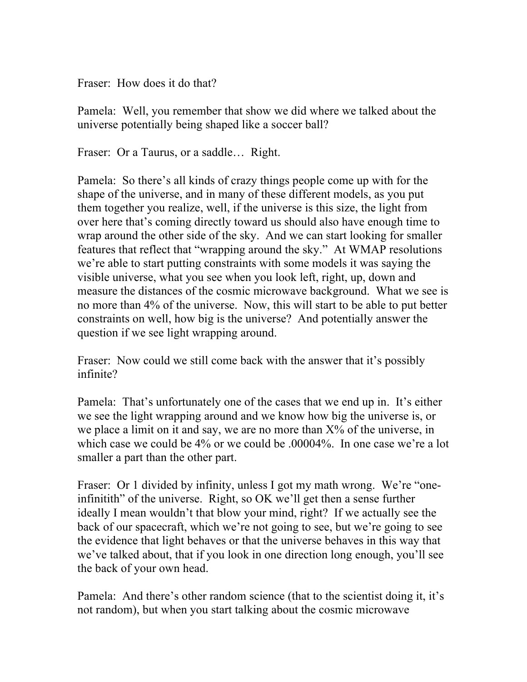Fraser: How does it do that?

Pamela: Well, you remember that show we did where we talked about the universe potentially being shaped like a soccer ball?

Fraser: Or a Taurus, or a saddle... Right.

Pamela: So there's all kinds of crazy things people come up with for the shape of the universe, and in many of these different models, as you put them together you realize, well, if the universe is this size, the light from over here that's coming directly toward us should also have enough time to wrap around the other side of the sky. And we can start looking for smaller features that reflect that "wrapping around the sky." At WMAP resolutions we're able to start putting constraints with some models it was saying the visible universe, what you see when you look left, right, up, down and measure the distances of the cosmic microwave background. What we see is no more than 4% of the universe. Now, this will start to be able to put better constraints on well, how big is the universe? And potentially answer the question if we see light wrapping around.

Fraser: Now could we still come back with the answer that it's possibly infinite?

Pamela: That's unfortunately one of the cases that we end up in. It's either we see the light wrapping around and we know how big the universe is, or we place a limit on it and say, we are no more than  $X\%$  of the universe, in which case we could be 4% or we could be .00004%. In one case we're a lot smaller a part than the other part.

Fraser: Or 1 divided by infinity, unless I got my math wrong. We're "oneinfinitith" of the universe. Right, so OK we'll get then a sense further ideally I mean wouldn't that blow your mind, right? If we actually see the back of our spacecraft, which we're not going to see, but we're going to see the evidence that light behaves or that the universe behaves in this way that we've talked about, that if you look in one direction long enough, you'll see the back of your own head.

Pamela: And there's other random science (that to the scientist doing it, it's not random), but when you start talking about the cosmic microwave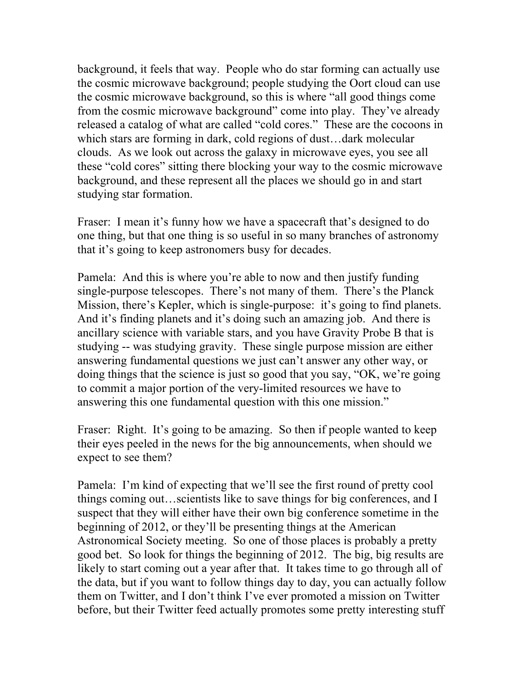background, it feels that way. People who do star forming can actually use the cosmic microwave background; people studying the Oort cloud can use the cosmic microwave background, so this is where "all good things come from the cosmic microwave background" come into play. They've already released a catalog of what are called "cold cores." These are the cocoons in which stars are forming in dark, cold regions of dust…dark molecular clouds. As we look out across the galaxy in microwave eyes, you see all these "cold cores" sitting there blocking your way to the cosmic microwave background, and these represent all the places we should go in and start studying star formation.

Fraser: I mean it's funny how we have a spacecraft that's designed to do one thing, but that one thing is so useful in so many branches of astronomy that it's going to keep astronomers busy for decades.

Pamela: And this is where you're able to now and then justify funding single-purpose telescopes. There's not many of them. There's the Planck Mission, there's Kepler, which is single-purpose: it's going to find planets. And it's finding planets and it's doing such an amazing job. And there is ancillary science with variable stars, and you have Gravity Probe B that is studying -- was studying gravity. These single purpose mission are either answering fundamental questions we just can't answer any other way, or doing things that the science is just so good that you say, "OK, we're going to commit a major portion of the very-limited resources we have to answering this one fundamental question with this one mission."

Fraser: Right. It's going to be amazing. So then if people wanted to keep their eyes peeled in the news for the big announcements, when should we expect to see them?

Pamela: I'm kind of expecting that we'll see the first round of pretty cool things coming out…scientists like to save things for big conferences, and I suspect that they will either have their own big conference sometime in the beginning of 2012, or they'll be presenting things at the American Astronomical Society meeting. So one of those places is probably a pretty good bet. So look for things the beginning of 2012. The big, big results are likely to start coming out a year after that. It takes time to go through all of the data, but if you want to follow things day to day, you can actually follow them on Twitter, and I don't think I've ever promoted a mission on Twitter before, but their Twitter feed actually promotes some pretty interesting stuff